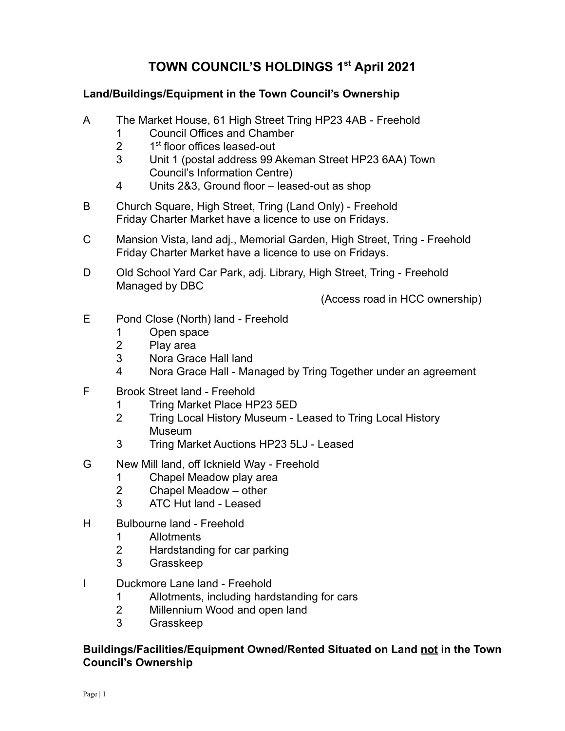## **TOWN COUNCIL'S HOLDINGS 1 st April 2021**

## **Land/Buildings/Equipment in the Town Council's Ownership**

- A The Market House, 61 High Street Tring HP23 4AB Freehold
	- 1 Council Offices and Chamber
	- $\mathcal{P}$ st floor offices leased-out
	- 3 Unit 1 (postal address 99 Akeman Street HP23 6AA) Town Council's Information Centre)
	- 4 Units 2&3, Ground floor leased-out as shop
- B Church Square, High Street, Tring (Land Only) Freehold Friday Charter Market have a licence to use on Fridays.
- C Mansion Vista, land adj., Memorial Garden, High Street, Tring Freehold Friday Charter Market have a licence to use on Fridays.
- D Old School Yard Car Park, adj. Library, High Street, Tring Freehold Managed by DBC

(Access road in HCC ownership)

- E Pond Close (North) land Freehold
	- 1 Open space
	- 2 Play area
	- 3 Nora Grace Hall land
	- 4 Nora Grace Hall Managed by Tring Together under an agreement
- F Brook Street land Freehold
	- 1 Tring Market Place HP23 5ED
	- 2 Tring Local History Museum Leased to Tring Local History Museum
	- 3 Tring Market Auctions HP23 5LJ Leased
- G New Mill land, off Icknield Way Freehold
	- 1 Chapel Meadow play area
	- 2 Chapel Meadow other
	- 3 ATC Hut land Leased
- H Bulbourne land Freehold
	- 1 Allotments
	- 2 Hardstanding for car parking
	- 3 Grasskeep
- I Duckmore Lane land Freehold
	- 1 Allotments, including hardstanding for cars
	- 2 Millennium Wood and open land
	- 3 Grasskeep

## **Buildings/Facilities/Equipment Owned/Rented Situated on Land not in the Town Council's Ownership**